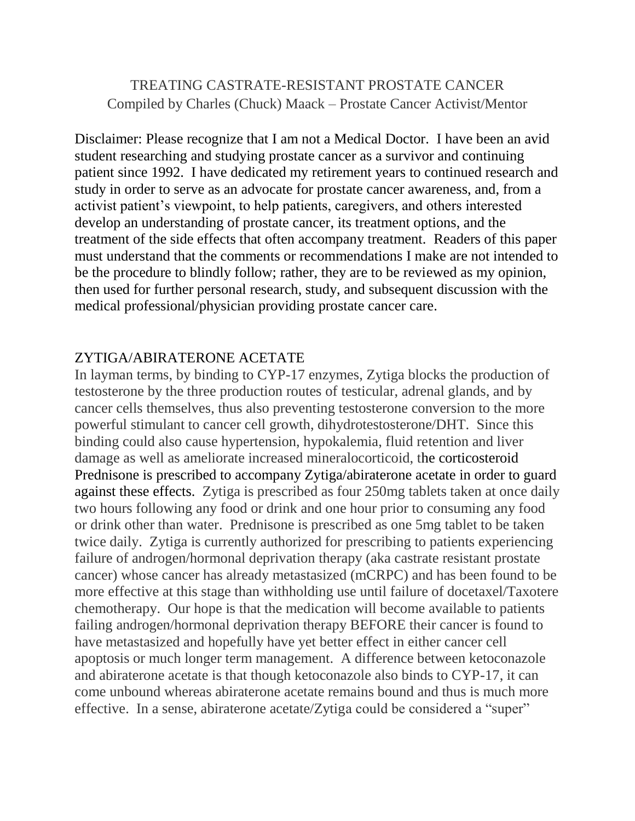# TREATING CASTRATE-RESISTANT PROSTATE CANCER Compiled by Charles (Chuck) Maack – Prostate Cancer Activist/Mentor

Disclaimer: Please recognize that I am not a Medical Doctor. I have been an avid student researching and studying prostate cancer as a survivor and continuing patient since 1992. I have dedicated my retirement years to continued research and study in order to serve as an advocate for prostate cancer awareness, and, from a activist patient's viewpoint, to help patients, caregivers, and others interested develop an understanding of prostate cancer, its treatment options, and the treatment of the side effects that often accompany treatment. Readers of this paper must understand that the comments or recommendations I make are not intended to be the procedure to blindly follow; rather, they are to be reviewed as my opinion, then used for further personal research, study, and subsequent discussion with the medical professional/physician providing prostate cancer care.

#### ZYTIGA/ABIRATERONE ACETATE

In layman terms, by binding to CYP-17 enzymes, Zytiga blocks the production of testosterone by the three production routes of testicular, adrenal glands, and by cancer cells themselves, thus also preventing testosterone conversion to the more powerful stimulant to cancer cell growth, dihydrotestosterone/DHT. Since this binding could also cause hypertension, hypokalemia, fluid retention and liver damage as well as ameliorate increased mineralocorticoid, the corticosteroid Prednisone is prescribed to accompany Zytiga/abiraterone acetate in order to guard against these effects. Zytiga is prescribed as four 250mg tablets taken at once daily two hours following any food or drink and one hour prior to consuming any food or drink other than water. Prednisone is prescribed as one 5mg tablet to be taken twice daily. Zytiga is currently authorized for prescribing to patients experiencing failure of androgen/hormonal deprivation therapy (aka castrate resistant prostate cancer) whose cancer has already metastasized (mCRPC) and has been found to be more effective at this stage than withholding use until failure of docetaxel/Taxotere chemotherapy. Our hope is that the medication will become available to patients failing androgen/hormonal deprivation therapy BEFORE their cancer is found to have metastasized and hopefully have yet better effect in either cancer cell apoptosis or much longer term management. A difference between ketoconazole and abiraterone acetate is that though ketoconazole also binds to CYP-17, it can come unbound whereas abiraterone acetate remains bound and thus is much more effective. In a sense, abiraterone acetate/Zytiga could be considered a "super"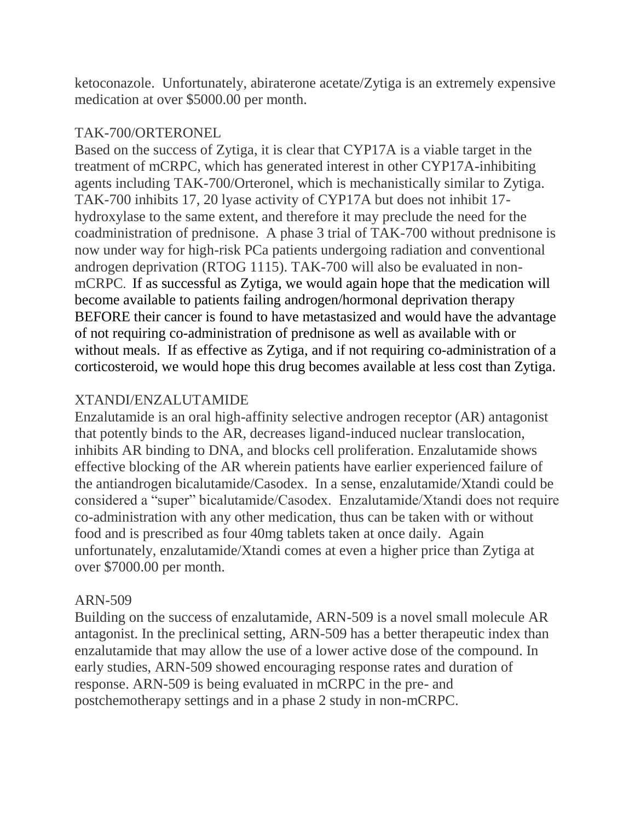ketoconazole. Unfortunately, abiraterone acetate/Zytiga is an extremely expensive medication at over \$5000.00 per month.

### TAK-700/ORTERONEL

Based on the success of Zytiga, it is clear that CYP17A is a viable target in the treatment of mCRPC, which has generated interest in other CYP17A-inhibiting agents including TAK-700/Orteronel, which is mechanistically similar to Zytiga. TAK-700 inhibits 17, 20 lyase activity of CYP17A but does not inhibit 17 hydroxylase to the same extent, and therefore it may preclude the need for the coadministration of prednisone. A phase 3 trial of TAK-700 without prednisone is now under way for high-risk PCa patients undergoing radiation and conventional androgen deprivation (RTOG 1115). TAK-700 will also be evaluated in nonmCRPC. If as successful as Zytiga, we would again hope that the medication will become available to patients failing androgen/hormonal deprivation therapy BEFORE their cancer is found to have metastasized and would have the advantage of not requiring co-administration of prednisone as well as available with or without meals. If as effective as Zytiga, and if not requiring co-administration of a corticosteroid, we would hope this drug becomes available at less cost than Zytiga.

# XTANDI/ENZALUTAMIDE

Enzalutamide is an oral high-affinity selective androgen receptor (AR) antagonist that potently binds to the AR, decreases ligand-induced nuclear translocation, inhibits AR binding to DNA, and blocks cell proliferation. Enzalutamide shows effective blocking of the AR wherein patients have earlier experienced failure of the antiandrogen bicalutamide/Casodex. In a sense, enzalutamide/Xtandi could be considered a "super" bicalutamide/Casodex. Enzalutamide/Xtandi does not require co-administration with any other medication, thus can be taken with or without food and is prescribed as four 40mg tablets taken at once daily. Again unfortunately, enzalutamide/Xtandi comes at even a higher price than Zytiga at over \$7000.00 per month.

## ARN-509

Building on the success of enzalutamide, ARN-509 is a novel small molecule AR antagonist. In the preclinical setting, ARN-509 has a better therapeutic index than enzalutamide that may allow the use of a lower active dose of the compound. In early studies, ARN-509 showed encouraging response rates and duration of response. ARN-509 is being evaluated in mCRPC in the pre- and postchemotherapy settings and in a phase 2 study in non-mCRPC.